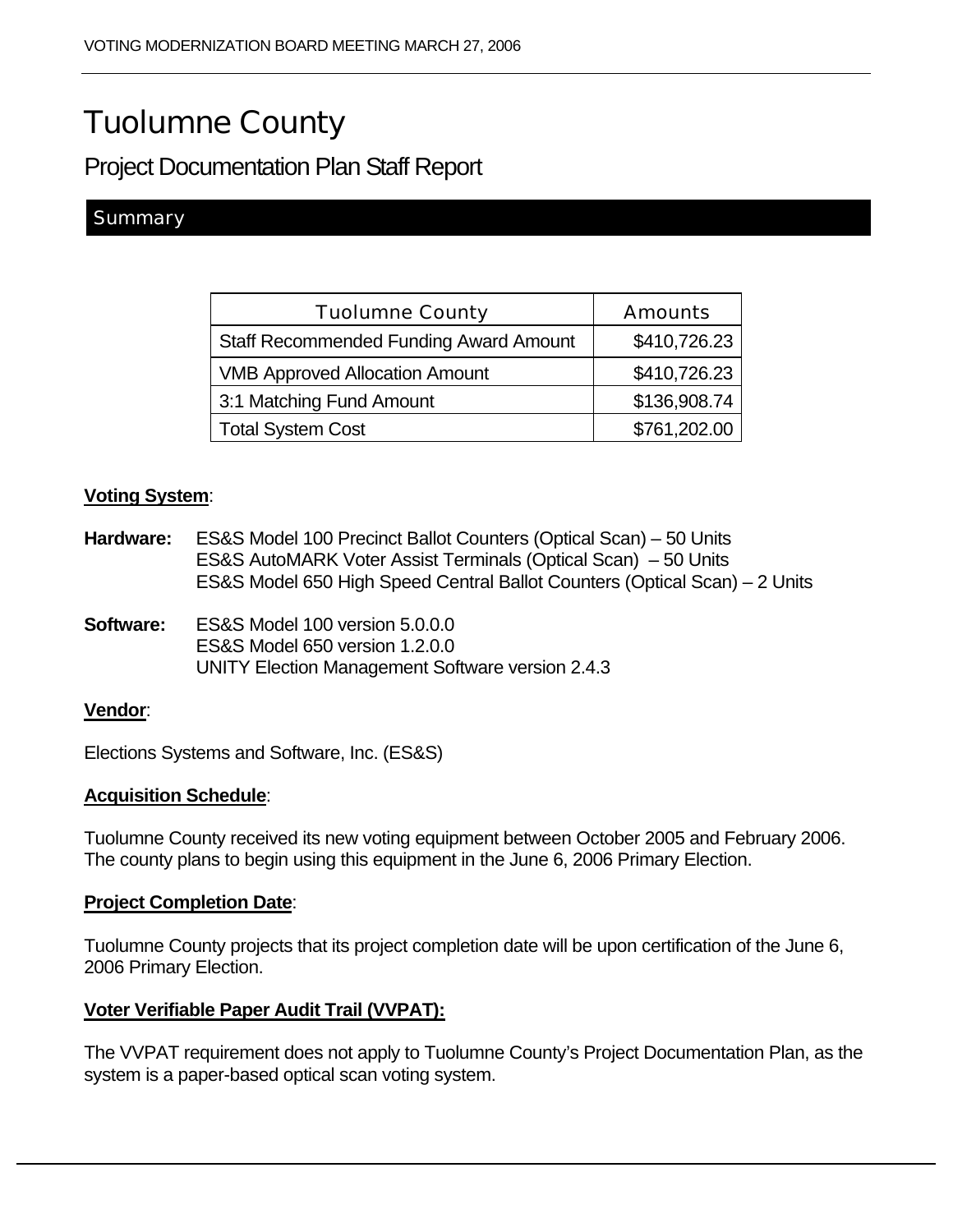# Tuolumne County

Project Documentation Plan Staff Report

# **Summary**

| <b>Tuolumne County</b>                        | <b>Amounts</b> |
|-----------------------------------------------|----------------|
| <b>Staff Recommended Funding Award Amount</b> | \$410,726.23   |
| <b>VMB Approved Allocation Amount</b>         | \$410,726.23   |
| 3:1 Matching Fund Amount                      | \$136,908.74   |
| <b>Total System Cost</b>                      | \$761,202.00   |

#### **Voting System**:

| Hardware:        | ES&S Model 100 Precinct Ballot Counters (Optical Scan) – 50 Units<br>ES&S AutoMARK Voter Assist Terminals (Optical Scan) - 50 Units<br>ES&S Model 650 High Speed Central Ballot Counters (Optical Scan) – 2 Units |
|------------------|-------------------------------------------------------------------------------------------------------------------------------------------------------------------------------------------------------------------|
| <b>Software:</b> | ES&S Model 100 version 5.0.0.0<br>ES&S Model 650 version 1,2,0,0<br>UNITY Election Management Software version 2.4.3                                                                                              |
| <b>Vendor:</b>   |                                                                                                                                                                                                                   |

Elections Systems and Software, Inc. (ES&S)

#### **Acquisition Schedule**:

Tuolumne County received its new voting equipment between October 2005 and February 2006. The county plans to begin using this equipment in the June 6, 2006 Primary Election.

#### **Project Completion Date**:

Tuolumne County projects that its project completion date will be upon certification of the June 6, 2006 Primary Election.

#### **Voter Verifiable Paper Audit Trail (VVPAT):**

The VVPAT requirement does not apply to Tuolumne County's Project Documentation Plan, as the system is a paper-based optical scan voting system.